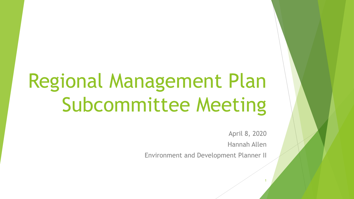# Regional Management Plan Subcommittee Meeting

April 8, 2020

Hannah Allen

1

Environment and Development Planner II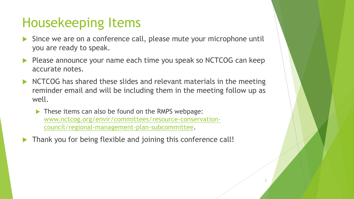#### Housekeeping Items

- Since we are on a conference call, please mute your microphone until you are ready to speak.
- Please announce your name each time you speak so NCTCOG can keep accurate notes.
- NCTCOG has shared these slides and relevant materials in the meeting reminder email and will be including them in the meeting follow up as well.
	- These items can also be found on the RMPS webpage: [www.nctcog.org/envir/committees/resource-conservation](http://www.nctcog.org/envir/committees/resource-conservation-council/regional-management-plan-subcommittee)council/regional-management-plan-subcommittee.
- Thank you for being flexible and joining this conference call!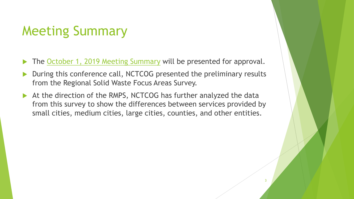#### Meeting Summary

- The [October 1, 2019 Meeting Summary](https://www.nctcog.org/nctcg/media/Environment-and-Development/Committee%20Documents/RCC-Regional%20Management%20Plan%20Sub/FY2019/2018-09-24-RMPS-Summary.pdf?ext=.pdf) will be presented for approval.
- During this conference call, NCTCOG presented the preliminary results from the Regional Solid Waste Focus Areas Survey.
- At the direction of the RMPS, NCTCOG has further analyzed the data from this survey to show the differences between services provided by small cities, medium cities, large cities, counties, and other entities.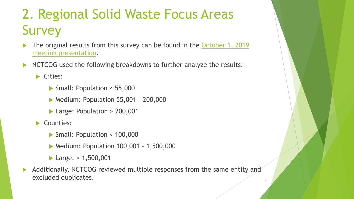### 2. Regional Solid Waste Focus Areas **Survey**

- [The original results from this survey can be found in the October 1, 2019](https://www.nctcog.org/nctcg/media/Environment-and-Development/Committee%20Documents/RCC-Regional%20Management%20Plan%20Sub/FY2020/Regional-Solid-Waste-Focus-Areas-Questionnaire-Preliminary-Results.pdf?ext=.pdf)  meeting presentation.
- NCTCOG used the following breakdowns to further analyze the results:

Cities:

- ▶ Small: Population < 55,000
- **Medium: Population 55,001 200,000**
- ▶ Large: Population > 200,001
- Counties:
	- Small: Population < 100,000
	- **Medium: Population 100,001 1,500,000**
	- $\blacktriangleright$  Large:  $> 1,500,001$
- Additionally, NCTCOG reviewed multiple responses from the same entity and excluded duplicates.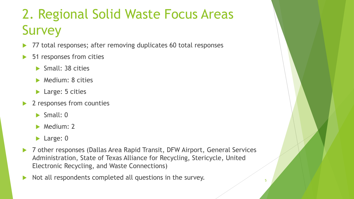## 2. Regional Solid Waste Focus Areas **Survey**

- 77 total responses; after removing duplicates 60 total responses
- 51 responses from cities
	- Small: 38 cities
	- **Medium: 8 cities**
	- ▶ Large: 5 cities
- 2 responses from counties
	- $\blacktriangleright$  Small: 0
	- **Medium: 2**
	- **Large: 0**
- ▶ 7 other responses (Dallas Area Rapid Transit, DFW Airport, General Services Administration, State of Texas Alliance for Recycling, Stericycle, United Electronic Recycling, and Waste Connections)
- Not all respondents completed all questions in the survey.  $\frac{1}{2}$   $\frac{1}{2}$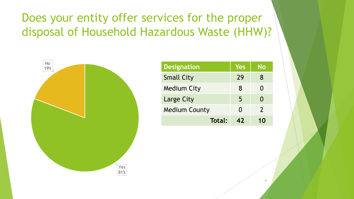#### Does your entity offer services for the proper disposal of Household Hazardous Waste (HHW)?



| <b>Designation</b>   | Yes | No                |
|----------------------|-----|-------------------|
| <b>Small City</b>    | 29  | 8                 |
| <b>Medium City</b>   | 8   | N                 |
| Large City           | 5   | $\mathbf{\Omega}$ |
| <b>Medium County</b> | 0   | $\mathcal{L}$     |
| Total:               | 47  | 10                |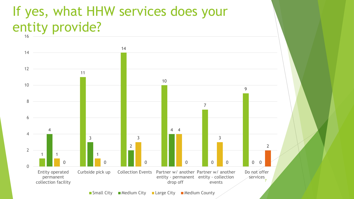#### If yes, what HHW services does your entity provide?

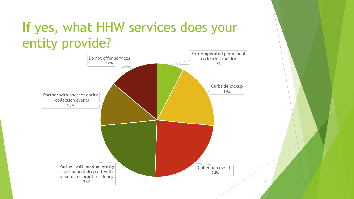### If yes, what HHW services does your entity provide?

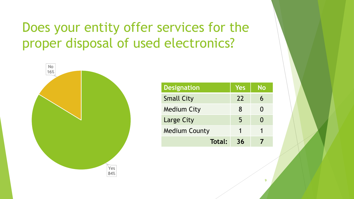#### Does your entity offer services for the proper disposal of used electronics?



| <b>Designation</b>   | Yes | No |
|----------------------|-----|----|
| <b>Small City</b>    | 22  |    |
| <b>Medium City</b>   | 8   |    |
| Large City           | 5   |    |
| <b>Medium County</b> |     |    |
| Total:               | 36  |    |

9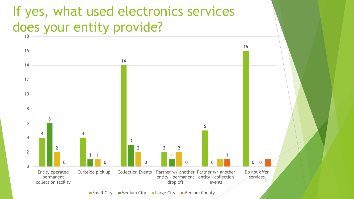#### If yes, what used electronics services does your entity provide?



 $\blacksquare$  Small City  $\blacksquare$  Medium City  $\blacksquare$  Large City  $\blacksquare$  Medium County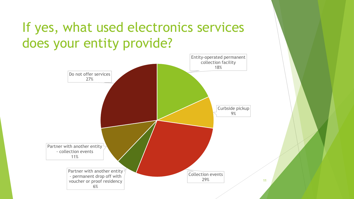### If yes, what used electronics services does your entity provide?

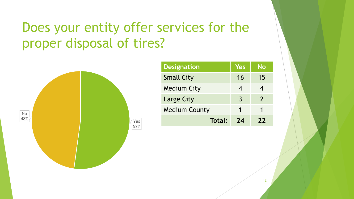### Does your entity offer services for the proper disposal of tires?



| <b>Designation</b>   | Yes | No            |
|----------------------|-----|---------------|
| <b>Small City</b>    | 16  | 15            |
| <b>Medium City</b>   | 4   |               |
| Large City           | 3   | $\mathcal{P}$ |
| <b>Medium County</b> | 1   |               |
| Total:               | 74  | 22            |

12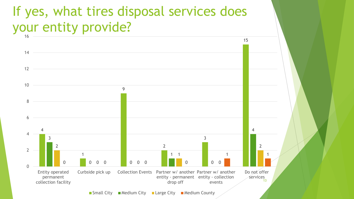#### If yes, what tires disposal services does your entity provide?



 $\blacksquare$  Small City  $\blacksquare$  Medium City  $\blacksquare$  Large City  $\blacksquare$  Medium County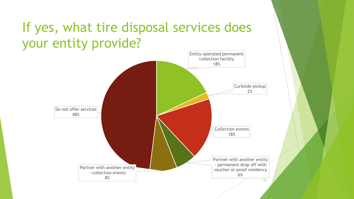#### If yes, what tire disposal services does your entity provide?

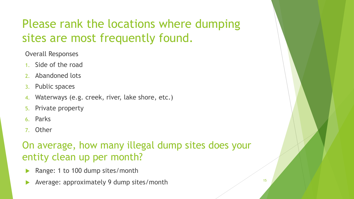#### Please rank the locations where dumping sites are most frequently found.

Overall Responses

- 1. Side of the road
- 2. Abandoned lots
- 3. Public spaces
- 4. Waterways (e.g. creek, river, lake shore, etc.)
- 5. Private property
- 6. Parks
- 7. Other

#### On average, how many illegal dump sites does your entity clean up per month?

- Range: 1 to 100 dump sites/month
- Average: approximately 9 dump sites/month 15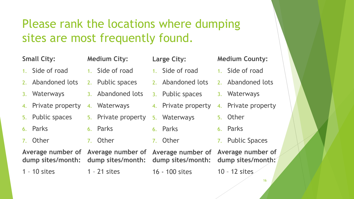#### Please rank the locations where dumping sites are most frequently found.

#### **Small City:**

- 1. Side of road
- Abandoned lots
- 3. Waterways
- 4. Private property
- 5. Public spaces
- 6. Parks
- 7. Other

6. Parks 7. Other

**Average number of Average number of dump sites/month:**

1 – 10 sites

**dump sites/month:**

1 – 21 sites

**Medium City:**

1. Side of road

2. Public spaces

4. Waterways

3. Abandoned lots

5. Private property

- **Large City:**
	- 1. Side of road
	- 2. Abandoned lots
	- 3. Public spaces
	- 4. Private property
	- 5. Waterways
	- 6. Parks
	- 7. Other

16 - 100 sites

- **Medium County:**
- 1. Side of road
- 2. Abandoned lots
- 3. Waterways
- 4. Private property
	- 5. Other
	- 6. Parks
	- 7. Public Spaces
- **Average number of dump sites/month: Average number of dump sites/month:**

10 – 12 sites

16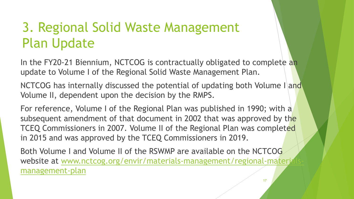### 3. Regional Solid Waste Management Plan Update

In the FY20-21 Biennium, NCTCOG is contractually obligated to complete an update to Volume I of the Regional Solid Waste Management Plan.

NCTCOG has internally discussed the potential of updating both Volume I and Volume II, dependent upon the decision by the RMPS.

For reference, Volume I of the Regional Plan was published in 1990; with a subsequent amendment of that document in 2002 that was approved by the TCEQ Commissioners in 2007. Volume II of the Regional Plan was completed in 2015 and was approved by the TCEQ Commissioners in 2019.

Both Volume I and Volume II of the RSWMP are available on the NCTCOG [website at www.nctcog.org/envir/materials-management/regional-materials](http://www.nctcog.org/envir/materials-management/regional-materials-management-plan)management-plan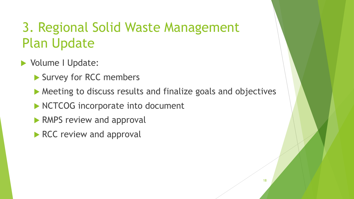### 3. Regional Solid Waste Management Plan Update

- **Volume I Update:** 
	- Survey for RCC members
	- ▶ Meeting to discuss results and finalize goals and objectives
	- NCTCOG incorporate into document
	- **RMPS review and approval**
	- RCC review and approval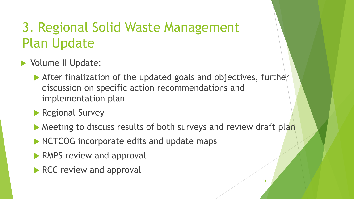### 3. Regional Solid Waste Management Plan Update

- ▶ Volume II Update:
	- After finalization of the updated goals and objectives, further discussion on specific action recommendations and implementation plan
	- **Regional Survey**
	- ▶ Meeting to discuss results of both surveys and review draft plan
	- NCTCOG incorporate edits and update maps
	- **RMPS review and approval**
	- RCC review and approval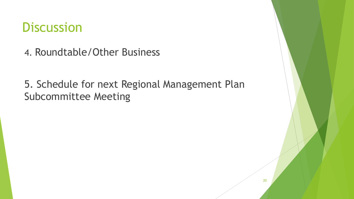#### **Discussion**

4. Roundtable/Other Business

5. Schedule for next Regional Management Plan Subcommittee Meeting